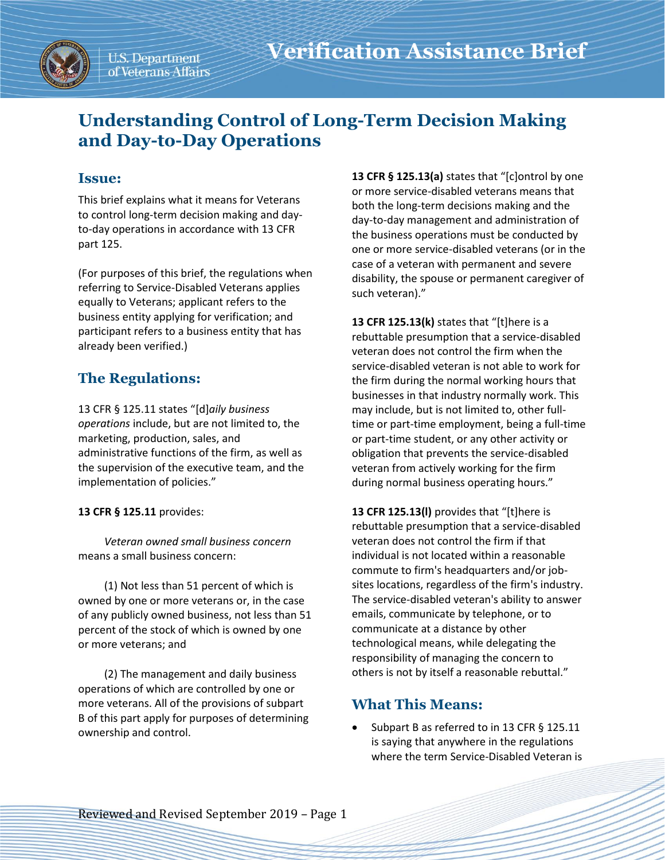# **Understanding Control of Long-Term Decision Making and Day-to-Day Operations**

## **Issue:**

This brief explains what it means for Veterans to control long-term decision making and dayto-day operations in accordance with 13 CFR part 125.

(For purposes of this brief, the regulations when referring to Service-Disabled Veterans applies equally to Veterans; applicant refers to the business entity applying for verification; and participant refers to a business entity that has already been verified.)

# **The Regulations:**

13 CFR § 125.11 states "[d]*aily business operations* include, but are not limited to, the marketing, production, sales, and administrative functions of the firm, as well as the supervision of the executive team, and the implementation of policies."

### **13 CFR § 125.11** provides:

*Veteran owned small business concern* means a small business concern:

(1) Not less than 51 percent of which is owned by one or more veterans or, in the case of any publicly owned business, not less than 51 percent of the stock of which is owned by one or more veterans; and

(2) The management and daily business operations of which are controlled by one or more veterans. All of the provisions of subpart B of this part apply for purposes of determining ownership and control.

**13 CFR § 125.13(a)** states that "[c]ontrol by one or more service-disabled veterans means that both the long-term decisions making and the day-to-day management and administration of the business operations must be conducted by one or more service-disabled veterans (or in the case of a veteran with permanent and severe disability, the spouse or permanent caregiver of such veteran)."

**13 CFR 125.13(k)** states that "[t]here is a rebuttable presumption that a service-disabled veteran does not control the firm when the service-disabled veteran is not able to work for the firm during the normal working hours that businesses in that industry normally work. This may include, but is not limited to, other fulltime or part-time employment, being a full-time or part-time student, or any other activity or obligation that prevents the service-disabled veteran from actively working for the firm during normal business operating hours."

**13 CFR 125.13(l)** provides that "[t]here is rebuttable presumption that a service-disabled veteran does not control the firm if that individual is not located within a reasonable commute to firm's headquarters and/or jobsites locations, regardless of the firm's industry. The service-disabled veteran's ability to answer emails, communicate by telephone, or to communicate at a distance by other technological means, while delegating the responsibility of managing the concern to others is not by itself a reasonable rebuttal."

## **What This Means:**

Subpart B as referred to in 13 CFR § 125.11 is saying that anywhere in the regulations where the term Service-Disabled Veteran is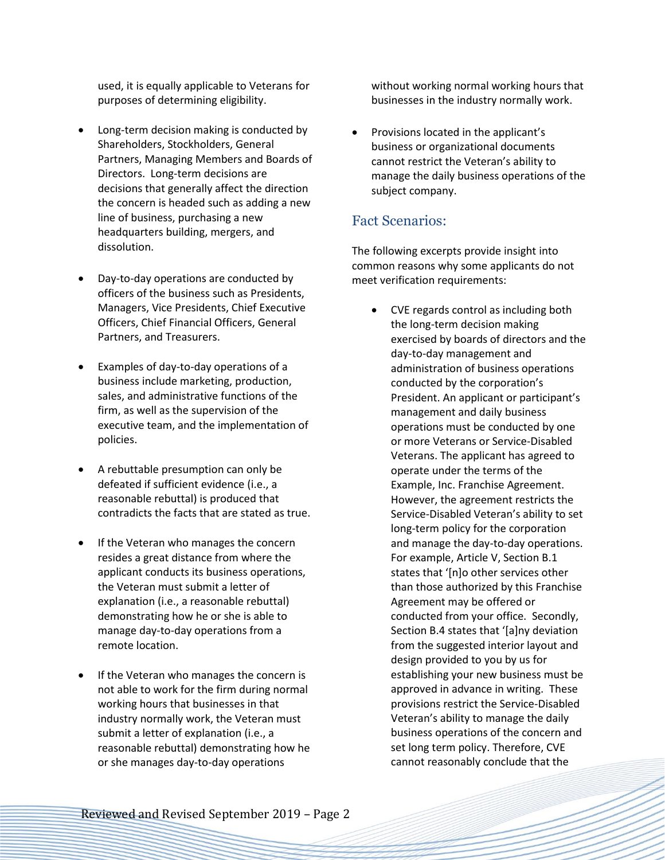used, it is equally applicable to Veterans for purposes of determining eligibility.

- Long-term decision making is conducted by Shareholders, Stockholders, General Partners, Managing Members and Boards of Directors. Long-term decisions are decisions that generally affect the direction the concern is headed such as adding a new line of business, purchasing a new headquarters building, mergers, and dissolution.
- Day-to-day operations are conducted by officers of the business such as Presidents, Managers, Vice Presidents, Chief Executive Officers, Chief Financial Officers, General Partners, and Treasurers.
- Examples of day-to-day operations of a business include marketing, production, sales, and administrative functions of the firm, as well as the supervision of the executive team, and the implementation of policies.
- A rebuttable presumption can only be defeated if sufficient evidence (i.e., a reasonable rebuttal) is produced that contradicts the facts that are stated as true.
- If the Veteran who manages the concern resides a great distance from where the applicant conducts its business operations, the Veteran must submit a letter of explanation (i.e., a reasonable rebuttal) demonstrating how he or she is able to manage day-to-day operations from a remote location.
- If the Veteran who manages the concern is not able to work for the firm during normal working hours that businesses in that industry normally work, the Veteran must submit a letter of explanation (i.e., a reasonable rebuttal) demonstrating how he or she manages day-to-day operations

without working normal working hours that businesses in the industry normally work.

• Provisions located in the applicant's business or organizational documents cannot restrict the Veteran's ability to manage the daily business operations of the subject company.

### Fact Scenarios:

The following excerpts provide insight into common reasons why some applicants do not meet verification requirements:

• CVE regards control as including both the long-term decision making exercised by boards of directors and the day-to-day management and administration of business operations conducted by the corporation's President. An applicant or participant's management and daily business operations must be conducted by one or more Veterans or Service-Disabled Veterans. The applicant has agreed to operate under the terms of the Example, Inc. Franchise Agreement. However, the agreement restricts the Service-Disabled Veteran's ability to set long-term policy for the corporation and manage the day-to-day operations. For example, Article V, Section B.1 states that '[n]o other services other than those authorized by this Franchise Agreement may be offered or conducted from your office. Secondly, Section B.4 states that '[a]ny deviation from the suggested interior layout and design provided to you by us for establishing your new business must be approved in advance in writing. These provisions restrict the Service-Disabled Veteran's ability to manage the daily business operations of the concern and set long term policy. Therefore, CVE cannot reasonably conclude that the